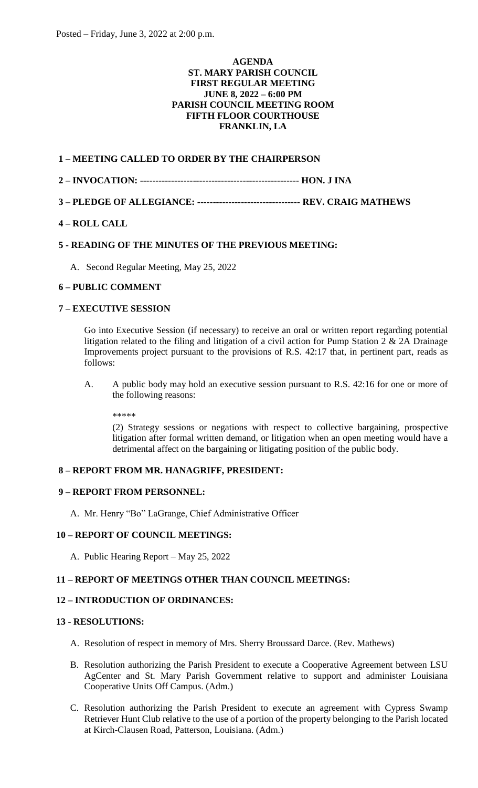#### **AGENDA ST. MARY PARISH COUNCIL FIRST REGULAR MEETING JUNE 8, 2022 – 6:00 PM PARISH COUNCIL MEETING ROOM FIFTH FLOOR COURTHOUSE FRANKLIN, LA**

## **1 – MEETING CALLED TO ORDER BY THE CHAIRPERSON**

- **2 – INVOCATION: --------------------------------------------------- HON. J INA**
- **3 – PLEDGE OF ALLEGIANCE: --------------------------------- REV. CRAIG MATHEWS**

# **4 – ROLL CALL**

## **5 - READING OF THE MINUTES OF THE PREVIOUS MEETING:**

A. Second Regular Meeting, May 25, 2022

#### **6 – PUBLIC COMMENT**

# **7 – EXECUTIVE SESSION**

Go into Executive Session (if necessary) to receive an oral or written report regarding potential litigation related to the filing and litigation of a civil action for Pump Station  $2 \& 2A$  Drainage Improvements project pursuant to the provisions of R.S. 42:17 that, in pertinent part, reads as follows:

A. A public body may hold an executive session pursuant to R.S. 42:16 for one or more of the following reasons:

\*\*\*\*\*

(2) Strategy sessions or negations with respect to collective bargaining, prospective litigation after formal written demand, or litigation when an open meeting would have a detrimental affect on the bargaining or litigating position of the public body.

#### **8 – REPORT FROM MR. HANAGRIFF, PRESIDENT:**

## **9 – REPORT FROM PERSONNEL:**

A. Mr. Henry "Bo" LaGrange, Chief Administrative Officer

#### **10 – REPORT OF COUNCIL MEETINGS:**

A. Public Hearing Report – May 25, 2022

#### **11 – REPORT OF MEETINGS OTHER THAN COUNCIL MEETINGS:**

## **12 – INTRODUCTION OF ORDINANCES:**

#### **13 - RESOLUTIONS:**

- A. Resolution of respect in memory of Mrs. Sherry Broussard Darce. (Rev. Mathews)
- B. Resolution authorizing the Parish President to execute a Cooperative Agreement between LSU AgCenter and St. Mary Parish Government relative to support and administer Louisiana Cooperative Units Off Campus. (Adm.)
- C. Resolution authorizing the Parish President to execute an agreement with Cypress Swamp Retriever Hunt Club relative to the use of a portion of the property belonging to the Parish located at Kirch-Clausen Road, Patterson, Louisiana. (Adm.)